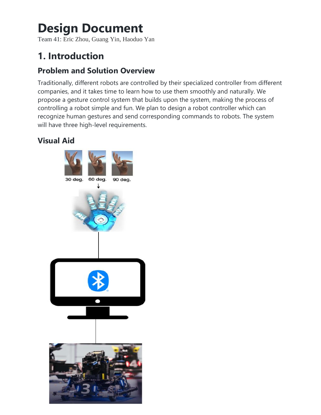# **Design Document**

Team 41: Eric Zhou, Guang Yin, Haoduo Yan

## **1. Introduction**

### **Problem and Solution Overview**

Traditionally, different robots are controlled by their specialized controller from different companies, and it takes time to learn how to use them smoothly and naturally. We propose a gesture control system that builds upon the system, making the process of controlling a robot simple and fun. We plan to design a robot controller which can recognize human gestures and send corresponding commands to robots. The system will have three high-level requirements.

## **Visual Aid**

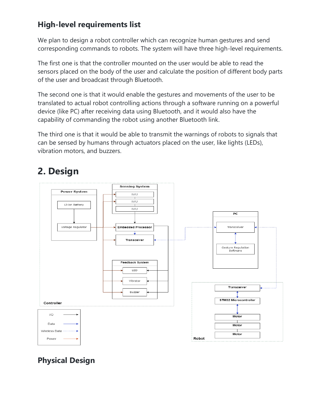## **High-level requirements list**

We plan to design a robot controller which can recognize human gestures and send corresponding commands to robots. The system will have three high-level requirements.

The first one is that the controller mounted on the user would be able to read the sensors placed on the body of the user and calculate the position of different body parts of the user and broadcast through Bluetooth.

The second one is that it would enable the gestures and movements of the user to be translated to actual robot controlling actions through a software running on a powerful device (like PC) after receiving data using Bluetooth, and it would also have the capability of commanding the robot using another Bluetooth link.

The third one is that it would be able to transmit the warnings of robots to signals that can be sensed by humans through actuators placed on the user, like lights (LEDs), vibration motors, and buzzers.

## **2. Design**



## **Physical Design**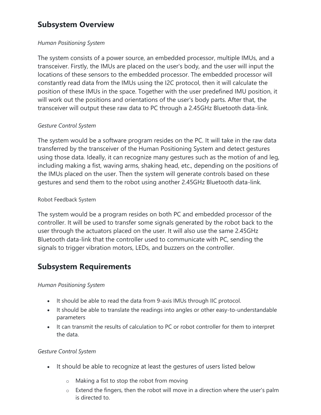### **Subsystem Overview**

#### *Human Positioning System*

The system consists of a power source, an embedded processor, multiple IMUs, and a transceiver. Firstly, the IMUs are placed on the user's body, and the user will input the locations of these sensors to the embedded processor. The embedded processor will constantly read data from the IMUs using the I2C protocol, then it will calculate the position of these IMUs in the space. Together with the user predefined IMU position, it will work out the positions and orientations of the user's body parts. After that, the transceiver will output these raw data to PC through a 2.45GHz Bluetooth data-link.

#### *Gesture Control System*

The system would be a software program resides on the PC. It will take in the raw data transferred by the transceiver of the Human Positioning System and detect gestures using those data. Ideally, it can recognize many gestures such as the motion of and leg, including making a fist, waving arms, shaking head, etc., depending on the positions of the IMUs placed on the user. Then the system will generate controls based on these gestures and send them to the robot using another 2.45GHz Bluetooth data-link.

#### Robot Feedback System

The system would be a program resides on both PC and embedded processor of the controller. It will be used to transfer some signals generated by the robot back to the user through the actuators placed on the user. It will also use the same 2.45GHz Bluetooth data-link that the controller used to communicate with PC, sending the signals to trigger vibration motors, LEDs, and buzzers on the controller.

### **Subsystem Requirements**

#### *Human Positioning System*

- It should be able to read the data from 9-axis IMUs through IIC protocol.
- It should be able to translate the readings into angles or other easy-to-understandable parameters
- It can transmit the results of calculation to PC or robot controller for them to interpret the data.

#### *Gesture Control System*

- It should be able to recognize at least the gestures of users listed below
	- o Making a fist to stop the robot from moving
	- $\circ$  Extend the fingers, then the robot will move in a direction where the user's palm is directed to.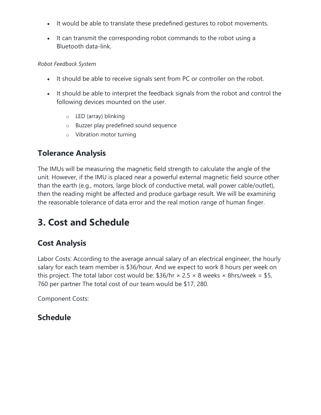- It would be able to translate these predefined gestures to robot movements.
- It can transmit the corresponding robot commands to the robot using a Bluetooth data-link.

#### *Robot Feedback System*

- It should be able to receive signals sent from PC or controller on the robot.
- It should be able to interpret the feedback signals from the robot and control the following devices mounted on the user.
	- o LED (array) blinking
	- o Buzzer play predefined sound sequence
	- o Vibration motor turning

## **Tolerance Analysis**

The IMUs will be measuring the magnetic field strength to calculate the angle of the unit. However, if the IMU is placed near a powerful external magnetic field source other than the earth (e.g., motors, large block of conductive metal, wall power cable/outlet), then the reading might be affected and produce garbage result. We will be examining the reasonable tolerance of data error and the real motion range of human finger.

## **3. Cost and Schedule**

### **Cost Analysis**

Labor Costs: According to the average annual salary of an electrical engineer, the hourly salary for each team member is \$36/hour. And we expect to work 8 hours per week on this project. The total labor cost would be:  $$36/hr \times 2.5 \times 8$  weeks  $\times$  8hrs/week = \$5, 760 per partner The total cost of our team would be \$17, 280.

Component Costs:

### **Schedule**